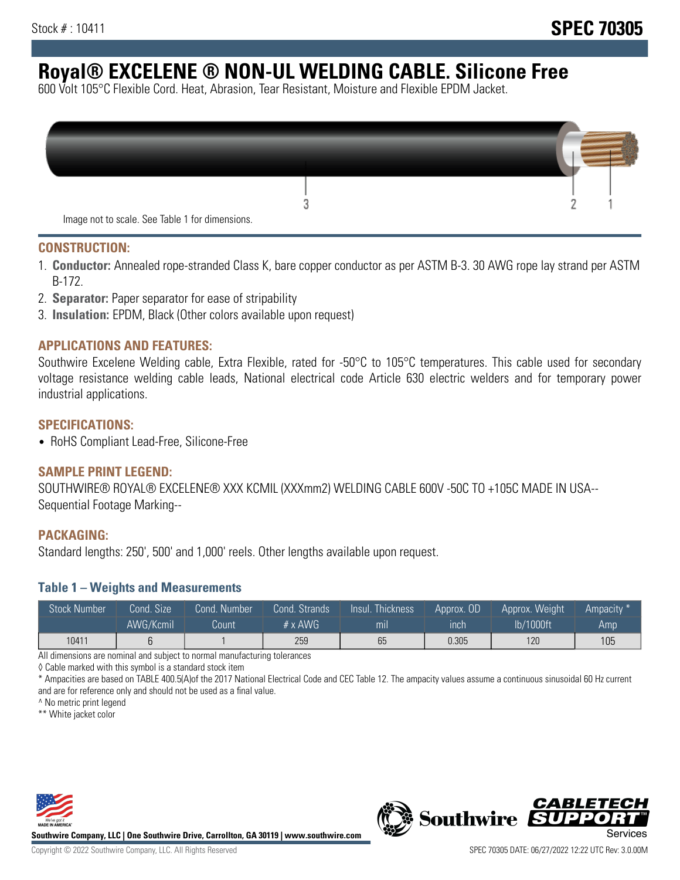# **Royal® EXCELENE ® NON-UL WELDING CABLE. Silicone Free**

600 Volt 105°C Flexible Cord. Heat, Abrasion, Tear Resistant, Moisture and Flexible EPDM Jacket.

| Image not to scale. See Table 1 for dimensions. |  |
|-------------------------------------------------|--|

#### **CONSTRUCTION:**

- 1. **Conductor:** Annealed rope-stranded Class K, bare copper conductor as per ASTM B-3. 30 AWG rope lay strand per ASTM B-172.
- 2. **Separator:** Paper separator for ease of stripability
- 3. **Insulation:** EPDM, Black (Other colors available upon request)

### **APPLICATIONS AND FEATURES:**

Southwire Excelene Welding cable, Extra Flexible, rated for -50°C to 105°C temperatures. This cable used for secondary voltage resistance welding cable leads, National electrical code Article 630 electric welders and for temporary power industrial applications.

#### **SPECIFICATIONS:**

• RoHS Compliant Lead-Free, Silicone-Free

#### **SAMPLE PRINT LEGEND:**

SOUTHWIRE® ROYAL® EXCELENE® XXX KCMIL (XXXmm2) WELDING CABLE 600V -50C TO +105C MADE IN USA-- Sequential Footage Marking--

#### **PACKAGING:**

Standard lengths: 250', 500' and 1,000' reels. Other lengths available upon request.

#### **Table 1 – Weights and Measurements**

| <b>Stock Number</b> | Cond. Size | Cond. Number | Cond. Strands | Insul. Thickness | Approx. OD | Approx. Weight | Ampacity * |
|---------------------|------------|--------------|---------------|------------------|------------|----------------|------------|
|                     | AWG/Kcmil  | Count        | # x $AWG$     | m <sub>l</sub>   | inch       | lb/1000ft      | Amp        |
| 10411               |            |              | 259           | 65               | 0.305      | 120            | 105        |

All dimensions are nominal and subject to normal manufacturing tolerances

◊ Cable marked with this symbol is a standard stock item

\* Ampacities are based on TABLE 400.5(A)of the 2017 National Electrical Code and CEC Table 12. The ampacity values assume a continuous sinusoidal 60 Hz current and are for reference only and should not be used as a final value.

^ No metric print legend

\*\* White jacket color



**Southwire Company, LLC | One Southwire Drive, Carrollton, GA 30119 | www.southwire.com**



*CABLETE*